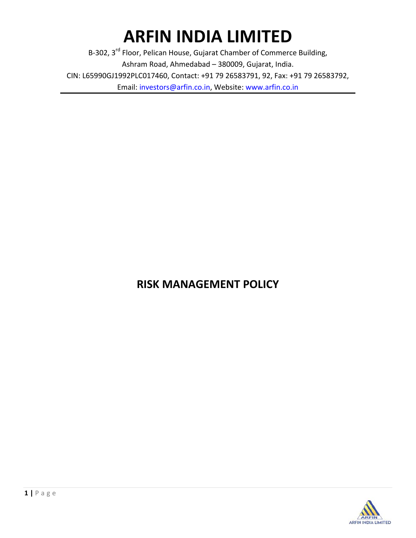# **ARFIN INDIA LIMITED**

B-302, 3<sup>rd</sup> Floor, Pelican House, Gujarat Chamber of Commerce Building, Ashram Road, Ahmedabad – 380009, Gujarat, India. CIN: L65990GJ1992PLC017460, Contact: +91 79 26583791, 92, Fax: +91 79 26583792, Email: investors@arfin.co.in, Website: www.arfin.co.in

# **RISK MANAGEMENT POLICY**

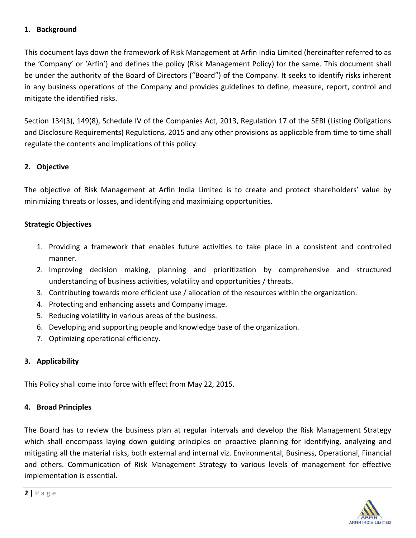#### **1. Background**

This document lays down the framework of Risk Management at Arfin India Limited (hereinafter referred to as the 'Company' or 'Arfin') and defines the policy (Risk Management Policy) for the same. This document shall be under the authority of the Board of Directors ("Board") of the Company. It seeks to identify risks inherent in any business operations of the Company and provides guidelines to define, measure, report, control and mitigate the identified risks.

Section 134(3), 149(8), Schedule IV of the Companies Act, 2013, Regulation 17 of the SEBI (Listing Obligations and Disclosure Requirements) Regulations, 2015 and any other provisions as applicable from time to time shall regulate the contents and implications of this policy.

# **2. Objective**

The objective of Risk Management at Arfin India Limited is to create and protect shareholders' value by minimizing threats or losses, and identifying and maximizing opportunities.

## **Strategic Objectives**

- 1. Providing a framework that enables future activities to take place in a consistent and controlled manner.
- 2. Improving decision making, planning and prioritization by comprehensive and structured understanding of business activities, volatility and opportunities / threats.
- 3. Contributing towards more efficient use / allocation of the resources within the organization.
- 4. Protecting and enhancing assets and Company image.
- 5. Reducing volatility in various areas of the business.
- 6. Developing and supporting people and knowledge base of the organization.
- 7. Optimizing operational efficiency.

# **3. Applicability**

This Policy shall come into force with effect from May 22, 2015.

#### **4. Broad Principles**

The Board has to review the business plan at regular intervals and develop the Risk Management Strategy which shall encompass laying down guiding principles on proactive planning for identifying, analyzing and mitigating all the material risks, both external and internal viz. Environmental, Business, Operational, Financial and others. Communication of Risk Management Strategy to various levels of management for effective implementation is essential.

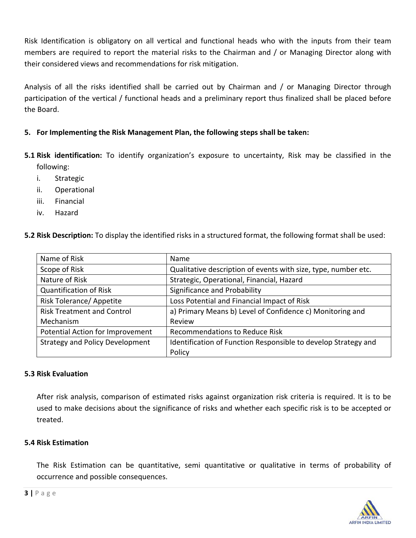Risk Identification is obligatory on all vertical and functional heads who with the inputs from their team members are required to report the material risks to the Chairman and / or Managing Director along with their considered views and recommendations for risk mitigation.

Analysis of all the risks identified shall be carried out by Chairman and / or Managing Director through participation of the vertical / functional heads and a preliminary report thus finalized shall be placed before the Board.

## **5. For Implementing the Risk Management Plan, the following steps shall be taken:**

- **5.1 Risk identification:** To identify organization's exposure to uncertainty, Risk may be classified in the following:
	- i. Strategic
	- ii. Operational
	- iii. Financial
	- iv. Hazard

| 5.2 Risk Description: To display the identified risks in a structured format, the following format shall be used: |
|-------------------------------------------------------------------------------------------------------------------|
|-------------------------------------------------------------------------------------------------------------------|

| Name of Risk                           | Name                                                           |
|----------------------------------------|----------------------------------------------------------------|
| Scope of Risk                          | Qualitative description of events with size, type, number etc. |
| Nature of Risk                         | Strategic, Operational, Financial, Hazard                      |
| <b>Quantification of Risk</b>          | Significance and Probability                                   |
| <b>Risk Tolerance/ Appetite</b>        | Loss Potential and Financial Impact of Risk                    |
| <b>Risk Treatment and Control</b>      | a) Primary Means b) Level of Confidence c) Monitoring and      |
| Mechanism                              | Review                                                         |
| Potential Action for Improvement       | Recommendations to Reduce Risk                                 |
| <b>Strategy and Policy Development</b> | Identification of Function Responsible to develop Strategy and |
|                                        | Policy                                                         |

#### **5.3 Risk Evaluation**

After risk analysis, comparison of estimated risks against organization risk criteria is required. It is to be used to make decisions about the significance of risks and whether each specific risk is to be accepted or treated.

#### **5.4 Risk Estimation**

The Risk Estimation can be quantitative, semi quantitative or qualitative in terms of probability of occurrence and possible consequences.

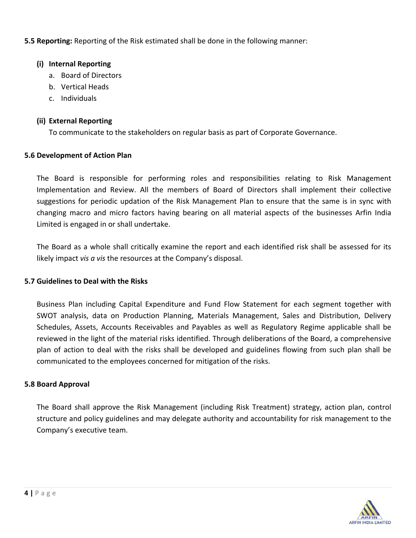# **5.5 Reporting:** Reporting of the Risk estimated shall be done in the following manner:

#### **(i) Internal Reporting**

- a. Board of Directors
- b. Vertical Heads
- c. Individuals

#### **(ii) External Reporting**

To communicate to the stakeholders on regular basis as part of Corporate Governance.

## **5.6 Development of Action Plan**

The Board is responsible for performing roles and responsibilities relating to Risk Management Implementation and Review. All the members of Board of Directors shall implement their collective suggestions for periodic updation of the Risk Management Plan to ensure that the same is in sync with changing macro and micro factors having bearing on all material aspects of the businesses Arfin India Limited is engaged in or shall undertake.

The Board as a whole shall critically examine the report and each identified risk shall be assessed for its likely impact *vis a vis* the resources at the Company's disposal.

#### **5.7 Guidelines to Deal with the Risks**

Business Plan including Capital Expenditure and Fund Flow Statement for each segment together with SWOT analysis, data on Production Planning, Materials Management, Sales and Distribution, Delivery Schedules, Assets, Accounts Receivables and Payables as well as Regulatory Regime applicable shall be reviewed in the light of the material risks identified. Through deliberations of the Board, a comprehensive plan of action to deal with the risks shall be developed and guidelines flowing from such plan shall be communicated to the employees concerned for mitigation of the risks.

#### **5.8 Board Approval**

The Board shall approve the Risk Management (including Risk Treatment) strategy, action plan, control structure and policy guidelines and may delegate authority and accountability for risk management to the Company's executive team.

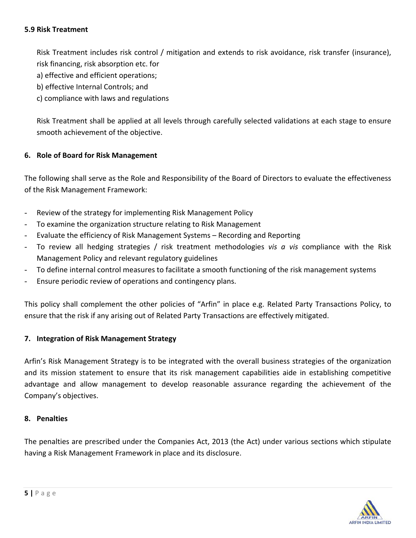#### **5.9 Risk Treatment**

Risk Treatment includes risk control / mitigation and extends to risk avoidance, risk transfer (insurance), risk financing, risk absorption etc. for

a) effective and efficient operations;

b) effective Internal Controls; and

c) compliance with laws and regulations

Risk Treatment shall be applied at all levels through carefully selected validations at each stage to ensure smooth achievement of the objective.

#### **6. Role of Board for Risk Management**

The following shall serve as the Role and Responsibility of the Board of Directors to evaluate the effectiveness of the Risk Management Framework:

- Review of the strategy for implementing Risk Management Policy
- To examine the organization structure relating to Risk Management
- Evaluate the efficiency of Risk Management Systems Recording and Reporting
- To review all hedging strategies / risk treatment methodologies *vis a vis* compliance with the Risk Management Policy and relevant regulatory guidelines
- To define internal control measures to facilitate a smooth functioning of the risk management systems
- Ensure periodic review of operations and contingency plans.

This policy shall complement the other policies of "Arfin" in place e.g. Related Party Transactions Policy, to ensure that the risk if any arising out of Related Party Transactions are effectively mitigated.

#### **7. Integration of Risk Management Strategy**

Arfin's Risk Management Strategy is to be integrated with the overall business strategies of the organization and its mission statement to ensure that its risk management capabilities aide in establishing competitive advantage and allow management to develop reasonable assurance regarding the achievement of the Company's objectives.

#### **8. Penalties**

The penalties are prescribed under the Companies Act, 2013 (the Act) under various sections which stipulate having a Risk Management Framework in place and its disclosure.